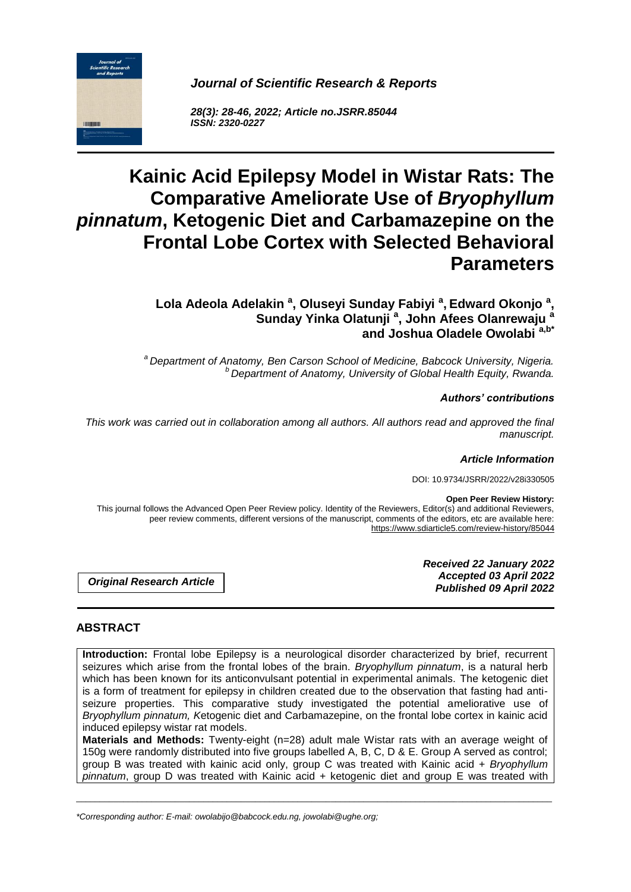# *Journal of Scientific Research & Reports*



*28(3): 28-46, 2022; Article no.JSRR.85044 ISSN: 2320-0227*

# **Kainic Acid Epilepsy Model in Wistar Rats: The Comparative Ameliorate Use of** *Bryophyllum pinnatum***, Ketogenic Diet and Carbamazepine on the Frontal Lobe Cortex with Selected Behavioral Parameters**

Lola Adeola Adelakin <sup>a</sup>, Oluseyi Sunday Fabiyi <sup>a</sup>, Edward Okonjo <sup>a</sup>, **Sunday Yinka Olatunji <sup>a</sup> , John Afees Olanrewaju <sup>a</sup> and Joshua Oladele Owolabi a,b\***

*<sup>a</sup>Department of Anatomy, Ben Carson School of Medicine, Babcock University, Nigeria. <sup>b</sup>Department of Anatomy, University of Global Health Equity, Rwanda.*

#### *Authors' contributions*

*This work was carried out in collaboration among all authors. All authors read and approved the final manuscript.*

#### *Article Information*

DOI: 10.9734/JSRR/2022/v28i330505

#### **Open Peer Review History:**

This journal follows the Advanced Open Peer Review policy. Identity of the Reviewers, Editor(s) and additional Reviewers, peer review comments, different versions of the manuscript, comments of the editors, etc are available here: https://www.sdiarticle5.com/review-history/85044

*Original Research Article*

*Received 22 January 2022 Accepted 03 April 2022 Published 09 April 2022*

# **ABSTRACT**

**Introduction:** Frontal lobe Epilepsy is a neurological disorder characterized by brief, recurrent seizures which arise from the frontal lobes of the brain. *Bryophyllum pinnatum*, is a natural herb which has been known for its anticonvulsant potential in experimental animals. The ketogenic diet is a form of treatment for epilepsy in children created due to the observation that fasting had antiseizure properties. This comparative study investigated the potential ameliorative use of *Bryophyllum pinnatum, K*etogenic diet and Carbamazepine, on the frontal lobe cortex in kainic acid induced epilepsy wistar rat models.

**Materials and Methods:** Twenty-eight (n=28) adult male Wistar rats with an average weight of 150g were randomly distributed into five groups labelled A, B, C, D & E. Group A served as control; group B was treated with kainic acid only, group C was treated with Kainic acid + *Bryophyllum pinnatum*, group D was treated with Kainic acid + ketogenic diet and group E was treated with

\_\_\_\_\_\_\_\_\_\_\_\_\_\_\_\_\_\_\_\_\_\_\_\_\_\_\_\_\_\_\_\_\_\_\_\_\_\_\_\_\_\_\_\_\_\_\_\_\_\_\_\_\_\_\_\_\_\_\_\_\_\_\_\_\_\_\_\_\_\_\_\_\_\_\_\_\_\_\_\_\_\_\_\_\_\_\_\_\_\_\_\_\_\_\_\_\_\_\_\_\_

*\*Corresponding author: E-mail: owolabijo@babcock.edu.ng, jowolabi@ughe.org;*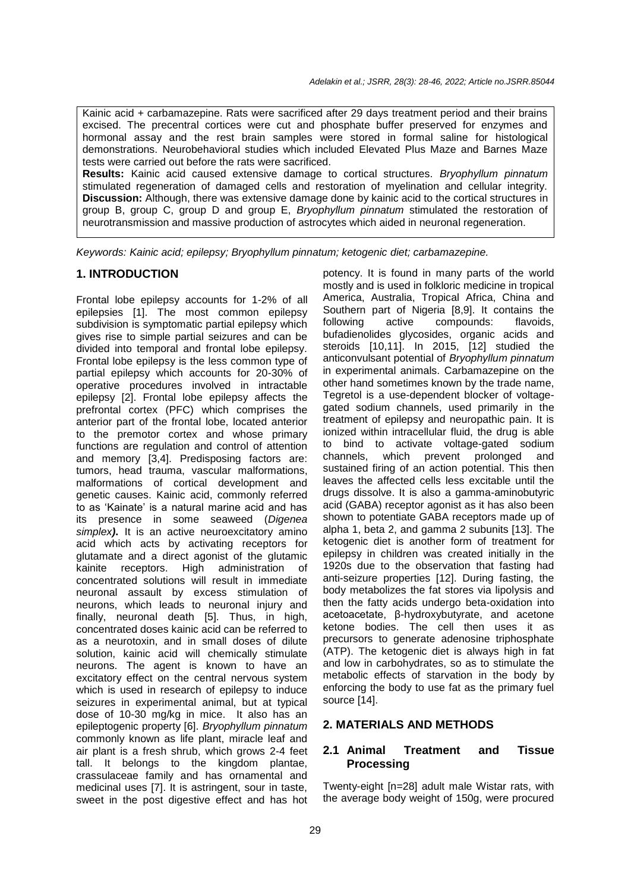Kainic acid + carbamazepine. Rats were sacrificed after 29 days treatment period and their brains excised. The precentral cortices were cut and phosphate buffer preserved for enzymes and hormonal assay and the rest brain samples were stored in formal saline for histological demonstrations. Neurobehavioral studies which included Elevated Plus Maze and Barnes Maze tests were carried out before the rats were sacrificed. **Results:** Kainic acid caused extensive damage to cortical structures. *Bryophyllum pinnatum* stimulated regeneration of damaged cells and restoration of myelination and cellular integrity. **Discussion:** Although, there was extensive damage done by kainic acid to the cortical structures in group B, group C, group D and group E, *Bryophyllum pinnatum* stimulated the restoration of neurotransmission and massive production of astrocytes which aided in neuronal regeneration.

*Keywords: Kainic acid; epilepsy; Bryophyllum pinnatum; ketogenic diet; carbamazepine.*

# **1. INTRODUCTION**

Frontal lobe epilepsy accounts for 1-2% of all epilepsies [1]. The most common epilepsy subdivision is symptomatic partial epilepsy which gives rise to simple partial seizures and can be divided into temporal and frontal lobe epilepsy. Frontal lobe epilepsy is the less common type of partial epilepsy which accounts for 20-30% of operative procedures involved in intractable epilepsy [2]. Frontal lobe epilepsy affects the prefrontal cortex (PFC) which comprises the anterior part of the frontal lobe, located anterior to the premotor cortex and whose primary functions are regulation and control of attention and memory [3,4]. Predisposing factors are: tumors, head trauma, vascular malformations, malformations of cortical development and genetic causes. Kainic acid, commonly referred to as 'Kainate' is a natural marine acid and has its presence in some seaweed (*Digenea simplex)***.** It is an active neuroexcitatory amino acid which acts by activating receptors for glutamate and a direct agonist of the glutamic kainite receptors. High administration of concentrated solutions will result in immediate neuronal assault by excess stimulation of neurons, which leads to neuronal injury and finally, neuronal death [5]. Thus, in high, concentrated doses kainic acid can be referred to as a neurotoxin, and in small doses of dilute solution, kainic acid will chemically stimulate neurons. The agent is known to have an excitatory effect on the central nervous system which is used in research of epilepsy to induce seizures in experimental animal, but at typical dose of 10-30 mg/kg in mice. It also has an epileptogenic property [6]. *Bryophyllum pinnatum* commonly known as life plant, miracle leaf and air plant is a fresh shrub, which grows 2-4 feet tall. It belongs to the kingdom plantae, crassulaceae family and has ornamental and medicinal uses [7]. It is astringent, sour in taste, sweet in the post digestive effect and has hot

potency. It is found in many parts of the world mostly and is used in folkloric medicine in tropical America, Australia, Tropical Africa, China and Southern part of Nigeria [8,9]. It contains the following active compounds: flavoids, bufadienolides glycosides, organic acids and steroids [10,11]. In 2015, [12] studied the anticonvulsant potential of *Bryophyllum pinnatum* in experimental animals. Carbamazepine on the other hand sometimes known by the trade name, Tegretol is a use-dependent blocker of voltagegated sodium channels, used primarily in the treatment of epilepsy and neuropathic pain. It is ionized within intracellular fluid, the drug is able to bind to activate voltage-gated sodium<br>channels, which prevent prolonged and channels, which prevent prolonged and sustained firing of an action potential. This then leaves the affected cells less excitable until the drugs dissolve. It is also a gamma-aminobutyric acid (GABA) receptor agonist as it has also been shown to potentiate GABA receptors made up of alpha 1, beta 2, and gamma 2 subunits [13]. The ketogenic diet is another form of treatment for epilepsy in children was created initially in the 1920s due to the observation that fasting had anti-seizure properties [12]. During fasting, the body metabolizes the fat stores via lipolysis and then the fatty acids undergo beta-oxidation into acetoacetate, β-hydroxybutyrate, and acetone ketone bodies. The cell then uses it as precursors to generate adenosine triphosphate (ATP). The ketogenic diet is always high in fat and low in carbohydrates, so as to stimulate the metabolic effects of starvation in the body by enforcing the body to use fat as the primary fuel source [14].

# **2. MATERIALS AND METHODS**

# **2.1 Animal Treatment and Tissue Processing**

Twenty-eight [n=28] adult male Wistar rats, with the average body weight of 150g, were procured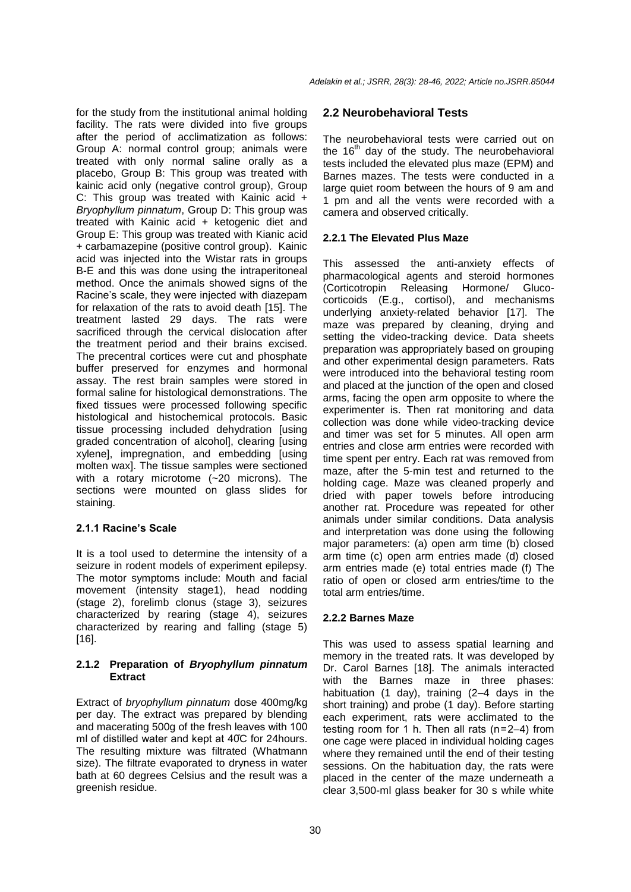for the study from the institutional animal holding facility. The rats were divided into five groups after the period of acclimatization as follows: Group A: normal control group; animals were treated with only normal saline orally as a placebo, Group B: This group was treated with kainic acid only (negative control group), Group C: This group was treated with Kainic acid + *Bryophyllum pinnatum*, Group D: This group was treated with Kainic acid + ketogenic diet and Group E: This group was treated with Kianic acid + carbamazepine (positive control group). Kainic acid was injected into the Wistar rats in groups B-E and this was done using the intraperitoneal method. Once the animals showed signs of the Racine's scale, they were injected with diazepam for relaxation of the rats to avoid death [15]. The treatment lasted 29 days. The rats were sacrificed through the cervical dislocation after the treatment period and their brains excised. The precentral cortices were cut and phosphate buffer preserved for enzymes and hormonal assay. The rest brain samples were stored in formal saline for histological demonstrations. The fixed tissues were processed following specific histological and histochemical protocols. Basic tissue processing included dehydration [using graded concentration of alcohol], clearing [using xylene], impregnation, and embedding [using molten wax]. The tissue samples were sectioned with a rotary microtome (~20 microns). The sections were mounted on glass slides for staining.

# **2.1.1 Racine's Scale**

It is a tool used to determine the intensity of a seizure in rodent models of experiment epilepsy. The motor symptoms include: Mouth and facial movement (intensity stage1), head nodding (stage 2), forelimb clonus (stage 3), seizures characterized by rearing (stage 4), seizures characterized by rearing and falling (stage 5) [16].

# **2.1.2 Preparation of** *Bryophyllum pinnatum* **Extract**

Extract of *bryophyllum pinnatum* dose 400mg/kg per day. The extract was prepared by blending and macerating 500g of the fresh leaves with ml of distilled water and kept at 40°C for 24hours. The resulting mixture was filtrated (Whatmann size). The filtrate evaporated to dryness in water bath at 60 degrees Celsius and the result was a greenish residue.

# **2.2 Neurobehavioral Tests**

The neurobehavioral tests were carried out on the  $16<sup>th</sup>$  day of the study. The neurobehavioral tests included the elevated plus maze (EPM) and Barnes mazes. The tests were conducted in a large quiet room between the hours of 9 am and 1 pm and all the vents were recorded with a camera and observed critically.

#### **2.2.1 The Elevated Plus Maze**

This assessed the anti-anxiety effects of pharmacological agents and steroid hormones (Corticotropin Releasing Hormone/ Glucocorticoids (E.g., cortisol), and mechanisms underlying anxiety-related behavior [17]. The maze was prepared by cleaning, drying and setting the video-tracking device. Data sheets preparation was appropriately based on grouping and other experimental design parameters. Rats were introduced into the behavioral testing room and placed at the junction of the open and closed arms, facing the open arm opposite to where the experimenter is. Then rat monitoring and data collection was done while video-tracking device and timer was set for 5 minutes. All open arm entries and close arm entries were recorded with time spent per entry. Each rat was removed from maze, after the 5-min test and returned to the holding cage. Maze was cleaned properly and dried with paper towels before introducing another rat. Procedure was repeated for other animals under similar conditions. Data analysis and interpretation was done using the following major parameters: (a) open arm time (b) closed arm time (c) open arm entries made (d) closed arm entries made (e) total entries made (f) The ratio of open or closed arm entries/time to the total arm entries/time.

#### **2.2.2 Barnes Maze**

This was used to assess spatial learning and memory in the treated rats. It was developed by Dr. Carol Barnes [18]. The animals interacted with the Barnes maze in three phases: habituation (1 day), training (2–4 days in the short training) and probe (1 day). Before starting each experiment, rats were acclimated to the testing room for 1 h. Then all rats  $(n=2-4)$  from one cage were placed in individual holding cages where they remained until the end of their testing sessions. On the habituation day, the rats were placed in the center of the maze underneath a clear 3,500-ml glass beaker for 30 s while white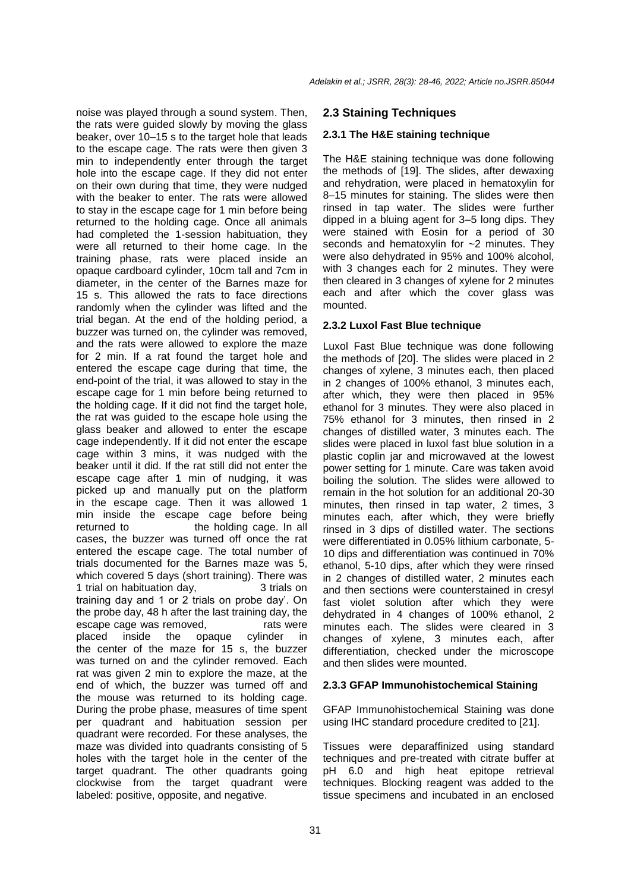noise was played through a sound system. Then, the rats were guided slowly by moving the glass beaker, over 10–15 s to the target hole that leads to the escape cage. The rats were then given 3 min to independently enter through the target hole into the escape cage. If they did not enter on their own during that time, they were nudged with the beaker to enter. The rats were allowed to stay in the escape cage for 1 min before being returned to the holding cage. Once all animals had completed the 1-session habituation, they were all returned to their home cage. In the training phase, rats were placed inside an opaque cardboard cylinder, 10cm tall and 7cm in diameter, in the center of the Barnes maze for 15 s. This allowed the rats to face directions randomly when the cylinder was lifted and the trial began. At the end of the holding period, a buzzer was turned on, the cylinder was removed, and the rats were allowed to explore the maze for 2 min. If a rat found the target hole and entered the escape cage during that time, the end-point of the trial, it was allowed to stay in the escape cage for 1 min before being returned to the holding cage. If it did not find the target hole, the rat was guided to the escape hole using the glass beaker and allowed to enter the escape cage independently. If it did not enter the escape cage within 3 mins, it was nudged with the beaker until it did. If the rat still did not enter the escape cage after 1 min of nudging, it was picked up and manually put on the platform in the escape cage. Then it was allowed 1 min inside the escape cage before being returned to the holding cage. In all cases, the buzzer was turned off once the rat entered the escape cage. The total number of trials documented for the Barnes maze was 5, which covered 5 days (short training). There was 1 trial on habituation day, 3 trials on training day and 1 or 2 trials on probe day'. On the probe day, 48 h after the last training day, the escape cage was removed. The rats were placed inside the opaque cylinder in the center of the maze for 15 s, the buzzer was turned on and the cylinder removed. Each rat was given 2 min to explore the maze, at the end of which, the buzzer was turned off and the mouse was returned to its holding cage. During the probe phase, measures of time spent per quadrant and habituation session per quadrant were recorded. For these analyses, the maze was divided into quadrants consisting of 5 holes with the target hole in the center of the target quadrant. The other quadrants going clockwise from the target quadrant were labeled: positive, opposite, and negative.

#### **2.3 Staining Techniques**

#### **2.3.1 The H&E staining technique**

The H&E staining technique was done following the methods of [19]. The slides, after dewaxing and rehydration, were placed in hematoxylin for 8–15 minutes for staining. The slides were then rinsed in tap water. The slides were further dipped in a bluing agent for 3–5 long dips. They were stained with Eosin for a period of 30 seconds and hematoxylin for ~2 minutes. They were also dehydrated in 95% and 100% alcohol, with 3 changes each for 2 minutes. They were then cleared in 3 changes of xylene for 2 minutes each and after which the cover glass was mounted.

#### **2.3.2 Luxol Fast Blue technique**

Luxol Fast Blue technique was done following the methods of [20]. The slides were placed in 2 changes of xylene, 3 minutes each, then placed in 2 changes of 100% ethanol, 3 minutes each, after which, they were then placed in 95% ethanol for 3 minutes. They were also placed in 75% ethanol for 3 minutes, then rinsed in 2 changes of distilled water, 3 minutes each. The slides were placed in luxol fast blue solution in a plastic coplin jar and microwaved at the lowest power setting for 1 minute. Care was taken avoid boiling the solution. The slides were allowed to remain in the hot solution for an additional 20-30 minutes, then rinsed in tap water, 2 times, 3 minutes each, after which, they were briefly rinsed in 3 dips of distilled water. The sections were differentiated in 0.05% lithium carbonate, 5- 10 dips and differentiation was continued in 70% ethanol, 5-10 dips, after which they were rinsed in 2 changes of distilled water, 2 minutes each and then sections were counterstained in cresyl fast violet solution after which they were dehydrated in 4 changes of 100% ethanol, 2 minutes each. The slides were cleared in 3 changes of xylene, 3 minutes each, after differentiation, checked under the microscope and then slides were mounted.

#### **2.3.3 GFAP Immunohistochemical Staining**

GFAP Immunohistochemical Staining was done using IHC standard procedure credited to [21].

Tissues were deparaffinized using standard techniques and pre-treated with citrate buffer at pH 6.0 and high heat epitope retrieval techniques. Blocking reagent was added to the tissue specimens and incubated in an enclosed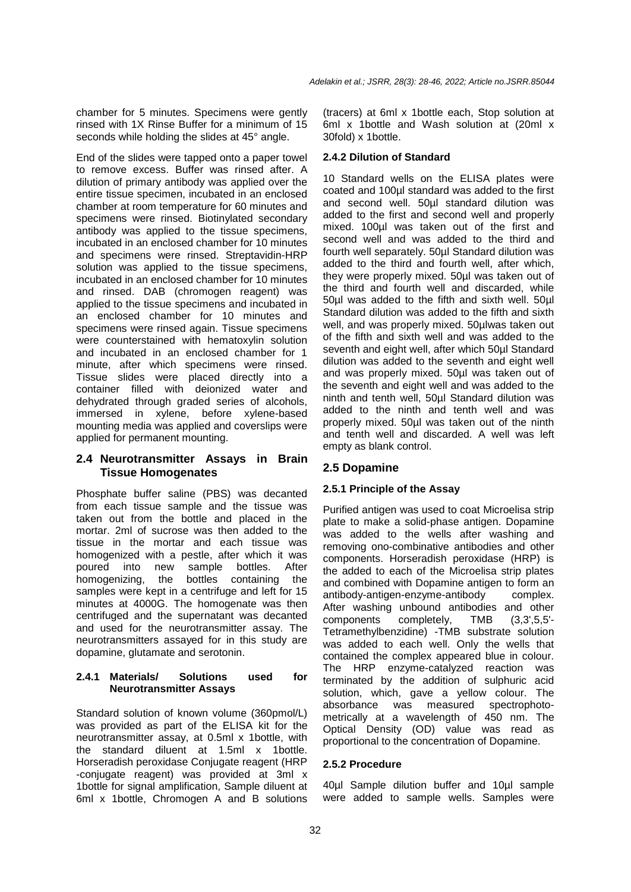chamber for 5 minutes. Specimens were gently rinsed with 1X Rinse Buffer for a minimum of 15 seconds while holding the slides at 45° angle.

End of the slides were tapped onto a paper towel to remove excess. Buffer was rinsed after. A dilution of primary antibody was applied over the entire tissue specimen, incubated in an enclosed chamber at room temperature for 60 minutes and specimens were rinsed. Biotinylated secondary antibody was applied to the tissue specimens, incubated in an enclosed chamber for 10 minutes and specimens were rinsed. Streptavidin-HRP solution was applied to the tissue specimens, incubated in an enclosed chamber for 10 minutes and rinsed. DAB (chromogen reagent) was applied to the tissue specimens and incubated in an enclosed chamber for 10 minutes and specimens were rinsed again. Tissue specimens were counterstained with hematoxylin solution and incubated in an enclosed chamber for 1 minute, after which specimens were rinsed. Tissue slides were placed directly into a container filled with deionized water and dehydrated through graded series of alcohols. immersed in xylene, before xylene-based mounting media was applied and coverslips were applied for permanent mounting.

# **2.4 Neurotransmitter Assays in Brain Tissue Homogenates**

Phosphate buffer saline (PBS) was decanted from each tissue sample and the tissue was taken out from the bottle and placed in the mortar. 2ml of sucrose was then added to the tissue in the mortar and each tissue was homogenized with a pestle, after which it was poured into new sample bottles. After homogenizing, the bottles containing the samples were kept in a centrifuge and left for 15 minutes at 4000G. The homogenate was then centrifuged and the supernatant was decanted and used for the neurotransmitter assay. The neurotransmitters assayed for in this study are dopamine, glutamate and serotonin.

#### **2.4.1 Materials/ Solutions used for Neurotransmitter Assays**

Standard solution of known volume (360pmol/L) was provided as part of the ELISA kit for the neurotransmitter assay, at 0.5ml x 1bottle, with the standard diluent at 1.5ml x 1bottle. Horseradish peroxidase Conjugate reagent (HRP -conjugate reagent) was provided at 3ml x 1bottle for signal amplification, Sample diluent at 6ml x 1bottle, Chromogen A and B solutions

(tracers) at 6ml x 1bottle each, Stop solution at 6ml x 1bottle and Wash solution at (20ml x 30fold) x 1bottle.

# **2.4.2 Dilution of Standard**

10 Standard wells on the ELISA plates were coated and 100µl standard was added to the first and second well. 50µl standard dilution was added to the first and second well and properly mixed. 100µl was taken out of the first and second well and was added to the third and fourth well separately. 50µl Standard dilution was added to the third and fourth well, after which, they were properly mixed. 50µl was taken out of the third and fourth well and discarded, while 50µl was added to the fifth and sixth well. 50µl Standard dilution was added to the fifth and sixth well, and was properly mixed. 50µlwas taken out of the fifth and sixth well and was added to the seventh and eight well, after which 50µl Standard dilution was added to the seventh and eight well and was properly mixed. 50µl was taken out of the seventh and eight well and was added to the ninth and tenth well, 50µl Standard dilution was added to the ninth and tenth well and was properly mixed. 50µl was taken out of the ninth and tenth well and discarded. A well was left empty as blank control.

# **2.5 Dopamine**

# **2.5.1 Principle of the Assay**

Purified antigen was used to coat Microelisa strip plate to make a solid-phase antigen. Dopamine was added to the wells after washing and removing ono-combinative antibodies and other components. Horseradish peroxidase (HRP) is the added to each of the Microelisa strip plates and combined with Dopamine antigen to form an antibody-antigen-enzyme-antibody complex. After washing unbound antibodies and other components completely, TMB (3,3',5,5'- Tetramethylbenzidine) -TMB substrate solution was added to each well. Only the wells that contained the complex appeared blue in colour. The HRP enzyme-catalyzed reaction was terminated by the addition of sulphuric acid solution, which, gave a yellow colour. The absorbance was measured spectrophotometrically at a wavelength of 450 nm. The Optical Density (OD) value was read as proportional to the concentration of Dopamine.

# **2.5.2 Procedure**

40µl Sample dilution buffer and 10µl sample were added to sample wells. Samples were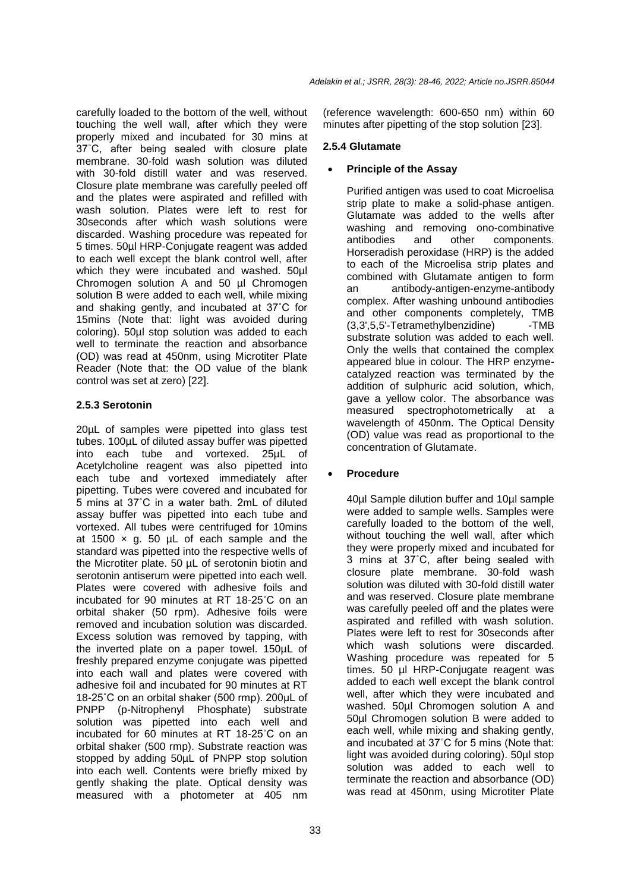carefully loaded to the bottom of the well, without touching the well wall, after which they were properly mixed and incubated for 30 mins at 37°C, after being sealed with closure plate membrane. 30-fold wash solution was diluted with 30-fold distill water and was reserved. Closure plate membrane was carefully peeled off and the plates were aspirated and refilled with wash solution. Plates were left to rest for 30seconds after which wash solutions were discarded. Washing procedure was repeated for 5 times. 50µl HRP-Conjugate reagent was added to each well except the blank control well, after which they were incubated and washed. 50µl Chromogen solution A and 50 µl Chromogen solution B were added to each well, while mixing and shaking gently, and incubated at  $37^{\circ}$ C for 15mins (Note that: light was avoided during coloring). 50µl stop solution was added to each well to terminate the reaction and absorbance (OD) was read at 450nm, using Microtiter Plate Reader (Note that: the OD value of the blank control was set at zero) [22].

# **2.5.3 Serotonin**

20µL of samples were pipetted into glass test tubes. 100µL of diluted assay buffer was pipetted into each tube and vortexed. 25µL of Acetylcholine reagent was also pipetted into each tube and vortexed immediately after pipetting. Tubes were covered and incubated for 5 mins at 37°C in a water bath. 2mL of diluted assay buffer was pipetted into each tube and vortexed. All tubes were centrifuged for 10mins at 1500  $\times$  g. 50 µL of each sample and the standard was pipetted into the respective wells of the Microtiter plate. 50 µL of serotonin biotin and serotonin antiserum were pipetted into each well. Plates were covered with adhesive foils and incubated for 90 minutes at RT 18-25˚C on an orbital shaker (50 rpm). Adhesive foils were removed and incubation solution was discarded. Excess solution was removed by tapping, with the inverted plate on a paper towel. 150µL of freshly prepared enzyme conjugate was pipetted into each wall and plates were covered with adhesive foil and incubated for 90 minutes at RT 18-25°C on an orbital shaker (500 rmp). 200 $\mu$ L of PNPP (p-Nitrophenyl Phosphate) substrate solution was pipetted into each well and incubated for 60 minutes at RT 18-25˚C on an orbital shaker (500 rmp). Substrate reaction was stopped by adding 50µL of PNPP stop solution into each well. Contents were briefly mixed by gently shaking the plate. Optical density was measured with a photometer at 405 nm

(reference wavelength: 600-650 nm) within 60 minutes after pipetting of the stop solution [23].

## **2.5.4 Glutamate**

#### **Principle of the Assay**

Purified antigen was used to coat Microelisa strip plate to make a solid-phase antigen. Glutamate was added to the wells after washing and removing ono-combinative antibodies and other components. Horseradish peroxidase (HRP) is the added to each of the Microelisa strip plates and combined with Glutamate antigen to form an antibody-antigen-enzyme-antibody complex. After washing unbound antibodies and other components completely, TMB (3,3',5,5'-Tetramethylbenzidine) -TMB substrate solution was added to each well. Only the wells that contained the complex appeared blue in colour. The HRP enzymecatalyzed reaction was terminated by the addition of sulphuric acid solution, which, gave a yellow color. The absorbance was measured spectrophotometrically at a wavelength of 450nm. The Optical Density (OD) value was read as proportional to the concentration of Glutamate.

# **Procedure**

40µl Sample dilution buffer and 10µl sample were added to sample wells. Samples were carefully loaded to the bottom of the well, without touching the well wall, after which they were properly mixed and incubated for 3 mins at 37°C, after being sealed with closure plate membrane. 30-fold wash solution was diluted with 30-fold distill water and was reserved. Closure plate membrane was carefully peeled off and the plates were aspirated and refilled with wash solution. Plates were left to rest for 30seconds after which wash solutions were discarded. Washing procedure was repeated for 5 times. 50 µl HRP-Conjugate reagent was added to each well except the blank control well, after which they were incubated and washed. 50µl Chromogen solution A and 50µl Chromogen solution B were added to each well, while mixing and shaking gently, and incubated at  $37^{\circ}$ C for 5 mins (Note that: light was avoided during coloring). 50µl stop solution was added to each well to terminate the reaction and absorbance (OD) was read at 450nm, using Microtiter Plate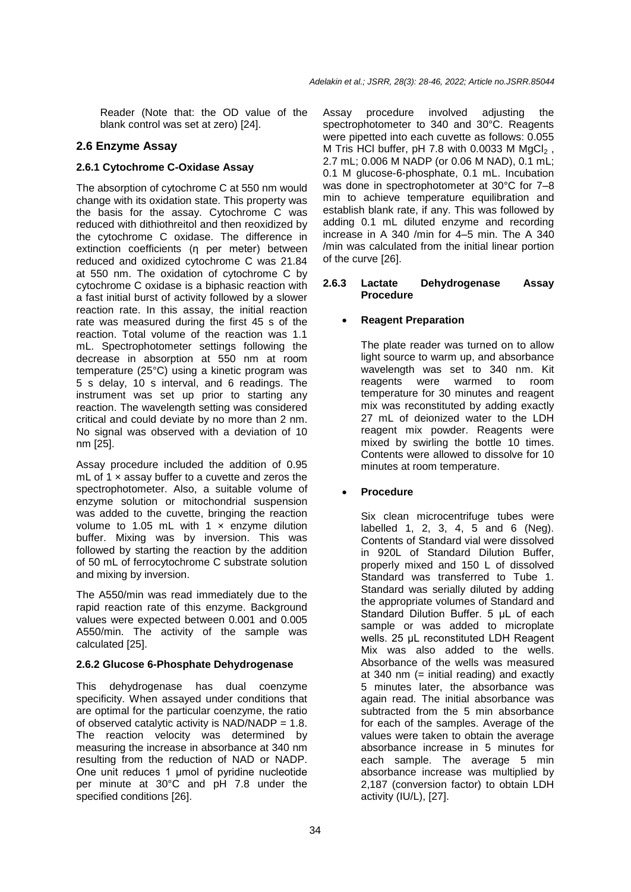Reader (Note that: the OD value of the blank control was set at zero) [24].

# **2.6 Enzyme Assay**

# **2.6.1 Cytochrome C-Oxidase Assay**

The absorption of cytochrome C at 550 nm would change with its oxidation state. This property was the basis for the assay. Cytochrome C was reduced with dithiothreitol and then reoxidized by the cytochrome C oxidase. The difference in extinction coefficients (η per meter) between reduced and oxidized cytochrome C was 21.84 at 550 nm. The oxidation of cytochrome C by cytochrome C oxidase is a biphasic reaction with a fast initial burst of activity followed by a slower reaction rate. In this assay, the initial reaction rate was measured during the first 45 s of the reaction. Total volume of the reaction was 1.1 mL. Spectrophotometer settings following the decrease in absorption at 550 nm at room temperature (25°C) using a kinetic program was 5 s delay, 10 s interval, and 6 readings. The instrument was set up prior to starting any reaction. The wavelength setting was considered critical and could deviate by no more than 2 nm. No signal was observed with a deviation of 10 nm [25].

Assay procedure included the addition of 0.95  $mL$  of 1  $\times$  assay buffer to a cuvette and zeros the spectrophotometer. Also, a suitable volume of enzyme solution or mitochondrial suspension was added to the cuvette, bringing the reaction volume to 1.05 mL with 1  $\times$  enzyme dilution buffer. Mixing was by inversion. This was followed by starting the reaction by the addition of 50 mL of ferrocytochrome C substrate solution and mixing by inversion.

The A550/min was read immediately due to the rapid reaction rate of this enzyme. Background values were expected between 0.001 and 0.005 A550/min. The activity of the sample was calculated [25].

# **2.6.2 Glucose 6-Phosphate Dehydrogenase**

This dehydrogenase has dual coenzyme specificity. When assayed under conditions that are optimal for the particular coenzyme, the ratio of observed catalytic activity is NAD/NADP = 1.8. The reaction velocity was determined by measuring the increase in absorbance at 340 nm resulting from the reduction of NAD or NADP. One unit reduces 1 μmol of pyridine nucleotide per minute at 30°C and pH 7.8 under the specified conditions [26].

Assay procedure involved adjusting the spectrophotometer to 340 and 30°C. Reagents were pipetted into each cuvette as follows: 0.055 M Tris HCl buffer, pH 7.8 with 0.0033 M MgCl<sub>2</sub>, 2.7 mL; 0.006 M NADP (or 0.06 M NAD), 0.1 mL; 0.1 M glucose-6-phosphate, 0.1 mL. Incubation was done in spectrophotometer at 30°C for 7–8 min to achieve temperature equilibration and establish blank rate, if any. This was followed by adding 0.1 mL diluted enzyme and recording increase in A 340 /min for 4–5 min. The A 340 /min was calculated from the initial linear portion of the curve [26].

## **2.6.3 Lactate Dehydrogenase Assay Procedure**

# **Reagent Preparation**

The plate reader was turned on to allow light source to warm up, and absorbance wavelength was set to 340 nm. Kit reagents were warmed to room temperature for 30 minutes and reagent mix was reconstituted by adding exactly 27 mL of deionized water to the LDH reagent mix powder. Reagents were mixed by swirling the bottle 10 times. Contents were allowed to dissolve for 10 minutes at room temperature.

# **Procedure**

Six clean microcentrifuge tubes were labelled 1, 2, 3, 4, 5 and 6 (Neg). Contents of Standard vial were dissolved in 920L of Standard Dilution Buffer, properly mixed and 150 L of dissolved Standard was transferred to Tube 1. Standard was serially diluted by adding the appropriate volumes of Standard and Standard Dilution Buffer. 5 μL of each sample or was added to microplate wells. 25 μL reconstituted LDH Reagent Mix was also added to the wells. Absorbance of the wells was measured at 340 nm  $(=$  initial reading) and exactly 5 minutes later, the absorbance was again read. The initial absorbance was subtracted from the 5 min absorbance for each of the samples. Average of the values were taken to obtain the average absorbance increase in 5 minutes for each sample. The average 5 min absorbance increase was multiplied by 2,187 (conversion factor) to obtain LDH activity (IU/L), [27].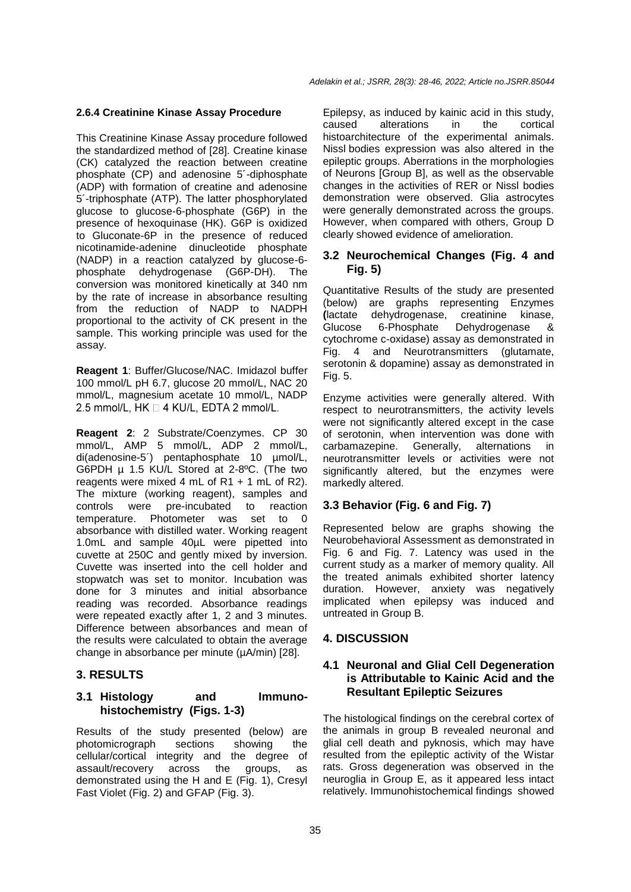#### **2.6.4 Creatinine Kinase Assay Procedure**

This Creatinine Kinase Assay procedure followed the standardized method of [28]. Creatine kinase (CK) catalyzed the reaction between creatine phosphate (CP) and adenosine 5´-diphosphate (ADP) with formation of creatine and adenosine 5´-triphosphate (ATP). The latter phosphorylated glucose to glucose-6-phosphate (G6P) in the presence of hexoquinase (HK). G6P is oxidized to Gluconate-6P in the presence of reduced nicotinamide-adenine dinucleotide phosphate (NADP) in a reaction catalyzed by glucose-6 phosphate dehydrogenase (G6P-DH). The conversion was monitored kinetically at 340 nm by the rate of increase in absorbance resulting from the reduction of NADP to NADPH proportional to the activity of CK present in the sample. This working principle was used for the assay.

**Reagent 1**: Buffer/Glucose/NAC. Imidazol buffer 100 mmol/L pH 6.7, glucose 20 mmol/L, NAC 20 mmol/L, magnesium acetate 10 mmol/L, NADP 2.5 mmol/L, HK  $\Box$  4 KU/L, EDTA 2 mmol/L.

**Reagent 2**: 2 Substrate/Coenzymes. CP 30 mmol/L, AMP 5 mmol/L, ADP 2 mmol/L, di(adenosine-5´) pentaphosphate 10 µmol/L, G6PDH µ 1.5 KU/L Stored at 2-8ºC. (The two reagents were mixed 4 mL of R1 + 1 mL of R2). The mixture (working reagent), samples and controls were pre-incubated to reaction temperature. Photometer was set to 0 absorbance with distilled water. Working reagent 1.0mL and sample 40µL were pipetted into cuvette at 250C and gently mixed by inversion. Cuvette was inserted into the cell holder and stopwatch was set to monitor. Incubation was done for 3 minutes and initial absorbance reading was recorded. Absorbance readings were repeated exactly after 1, 2 and 3 minutes. Difference between absorbances and mean of the results were calculated to obtain the average change in absorbance per minute (µA/min) [28].

# **3. RESULTS**

# **3.1 Histology and Immunohistochemistry (Figs. 1-3)**

Results of the study presented (below) are photomicrograph sections showing the cellular/cortical integrity and the degree of assault/recovery across the groups, as demonstrated using the H and E (Fig. 1), Cresyl Fast Violet (Fig. 2) and GFAP (Fig. 3).

Epilepsy, as induced by kainic acid in this study, caused alterations in the cortical histoarchitecture of the experimental animals. Nissl bodies expression was also altered in the epileptic groups. Aberrations in the morphologies of Neurons [Group B], as well as the observable changes in the activities of RER or Nissl bodies demonstration were observed. Glia astrocytes were generally demonstrated across the groups. However, when compared with others, Group D clearly showed evidence of amelioration.

# **3.2 Neurochemical Changes (Fig. 4 and Fig. 5)**

Quantitative Results of the study are presented (below) are graphs representing Enzymes **(**lactate dehydrogenase, creatinine kinase, Glucose 6-Phosphate Dehydrogenase & cytochrome c-oxidase) assay as demonstrated in Fig. 4 and Neurotransmitters (glutamate, serotonin & dopamine) assay as demonstrated in Fig. 5.

Enzyme activities were generally altered. With respect to neurotransmitters, the activity levels were not significantly altered except in the case of serotonin, when intervention was done with carbamazepine. Generally, alternations in neurotransmitter levels or activities were not significantly altered, but the enzymes were markedly altered.

# **3.3 Behavior (Fig. 6 and Fig. 7)**

Represented below are graphs showing the Neurobehavioral Assessment as demonstrated in Fig. 6 and Fig. 7. Latency was used in the current study as a marker of memory quality. All the treated animals exhibited shorter latency duration. However, anxiety was negatively implicated when epilepsy was induced and untreated in Group B.

# **4. DISCUSSION**

# **4.1 Neuronal and Glial Cell Degeneration is Attributable to Kainic Acid and the Resultant Epileptic Seizures**

The histological findings on the cerebral cortex of the animals in group B revealed neuronal and glial cell death and pyknosis, which may have resulted from the epileptic activity of the Wistar rats. Gross degeneration was observed in the neuroglia in Group E, as it appeared less intact relatively. Immunohistochemical findings showed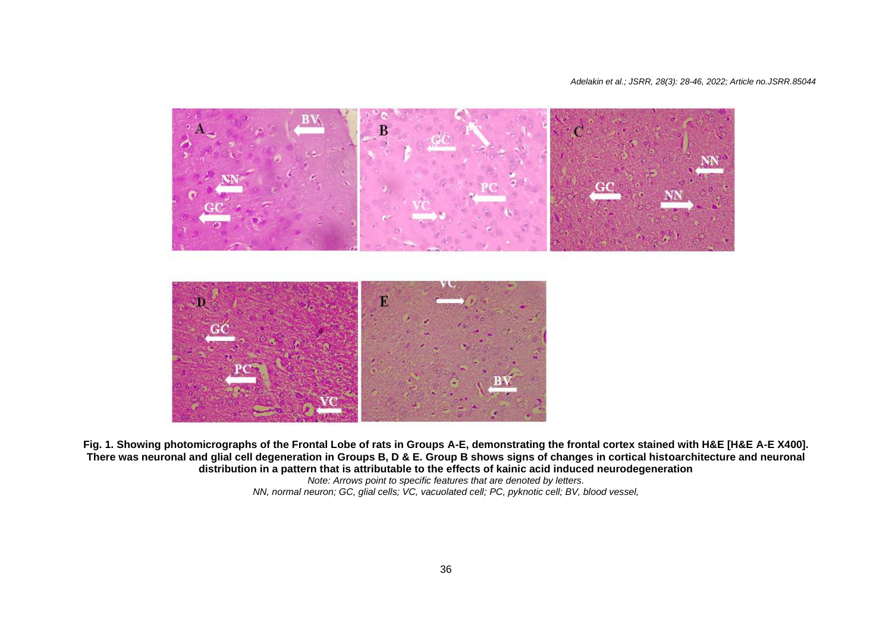

**Fig. 1. Showing photomicrographs of the Frontal Lobe of rats in Groups A-E, demonstrating the frontal cortex stained with H&E [H&E A-E X400]. There was neuronal and glial cell degeneration in Groups B, D & E. Group B shows signs of changes in cortical histoarchitecture and neuronal distribution in a pattern that is attributable to the effects of kainic acid induced neurodegeneration**

> *Note: Arrows point to specific features that are denoted by letters. NN, normal neuron; GC, glial cells; VC, vacuolated cell; PC, pyknotic cell; BV, blood vessel,*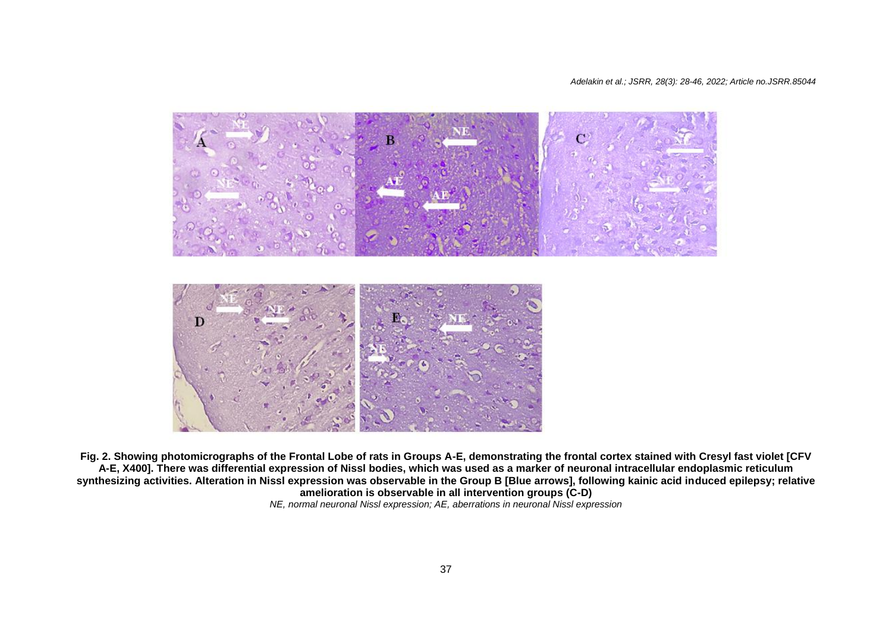

**Fig. 2. Showing photomicrographs of the Frontal Lobe of rats in Groups A-E, demonstrating the frontal cortex stained with Cresyl fast violet [CFV A-E, X400]. There was differential expression of Nissl bodies, which was used as a marker of neuronal intracellular endoplasmic reticulum synthesizing activities. Alteration in Nissl expression was observable in the Group B [Blue arrows], following kainic acid induced epilepsy; relative amelioration is observable in all intervention groups (C-D)**

*NE, normal neuronal Nissl expression; AE, aberrations in neuronal Nissl expression*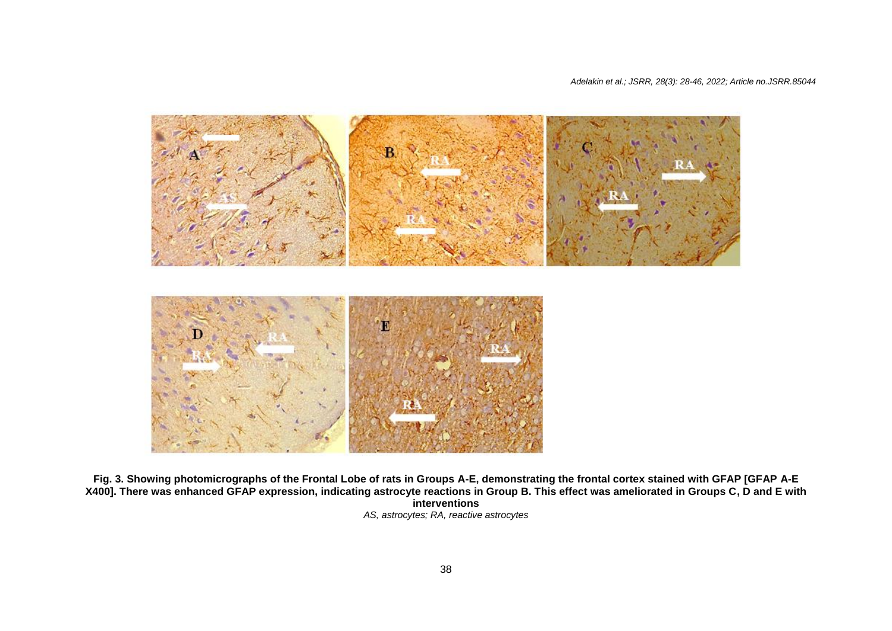

**Fig. 3. Showing photomicrographs of the Frontal Lobe of rats in Groups A-E, demonstrating the frontal cortex stained with GFAP [GFAP A-E X400]. There was enhanced GFAP expression, indicating astrocyte reactions in Group B. This effect was ameliorated in Groups C, D and E with interventions** *AS, astrocytes; RA, reactive astrocytes*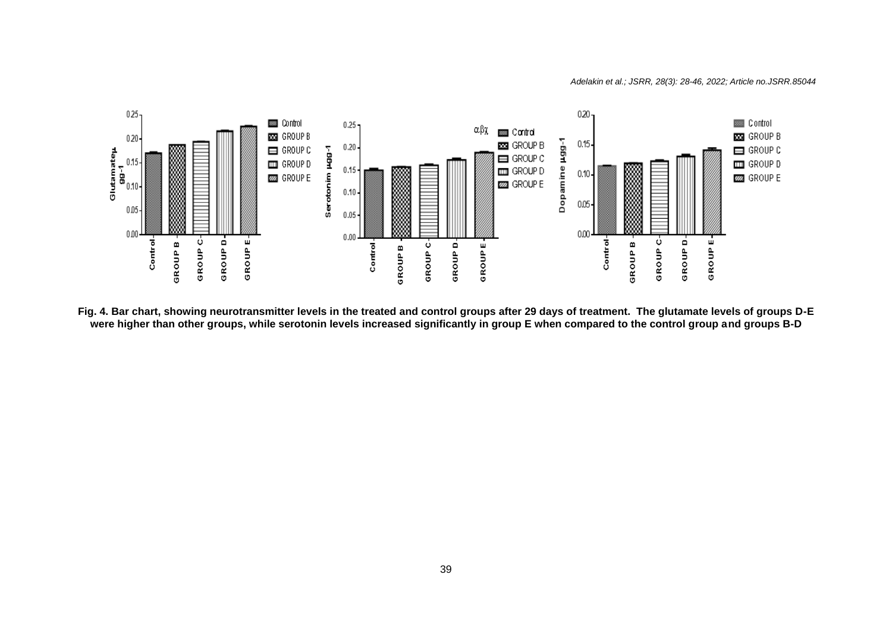

**Fig. 4. Bar chart, showing neurotransmitter levels in the treated and control groups after 29 days of treatment. The glutamate levels of groups D-E were higher than other groups, while serotonin levels increased significantly in group E when compared to the control group and groups B-D**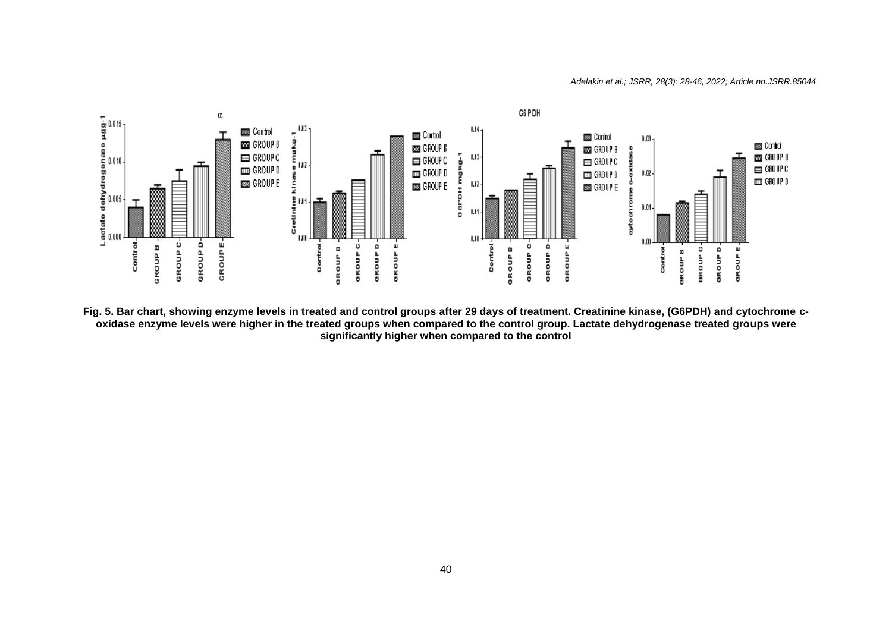

**Fig. 5. Bar chart, showing enzyme levels in treated and control groups after 29 days of treatment. Creatinine kinase, (G6PDH) and cytochrome coxidase enzyme levels were higher in the treated groups when compared to the control group. Lactate dehydrogenase treated groups were significantly higher when compared to the control**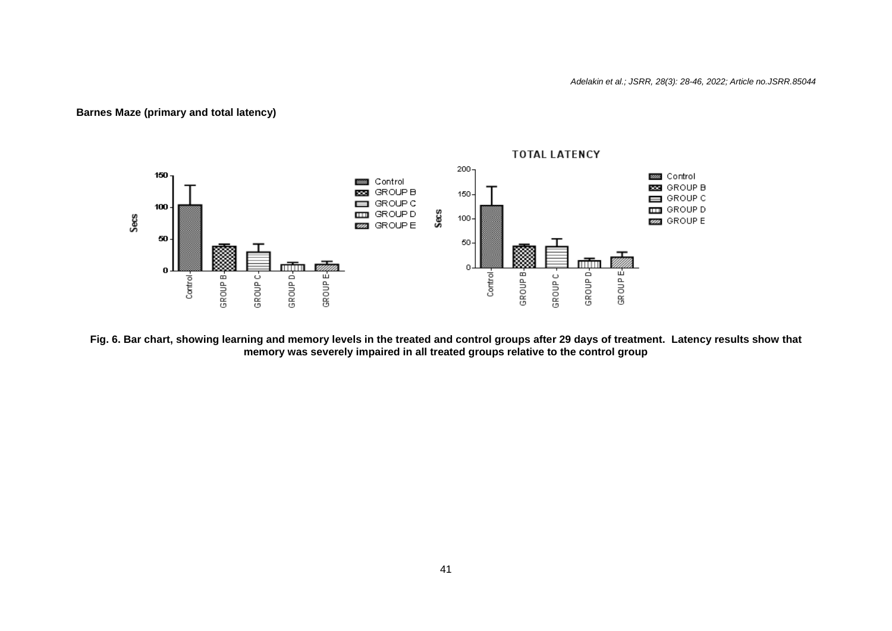

**Barnes Maze (primary and total latency)**

**Fig. 6. Bar chart, showing learning and memory levels in the treated and control groups after 29 days of treatment. Latency results show that memory was severely impaired in all treated groups relative to the control group**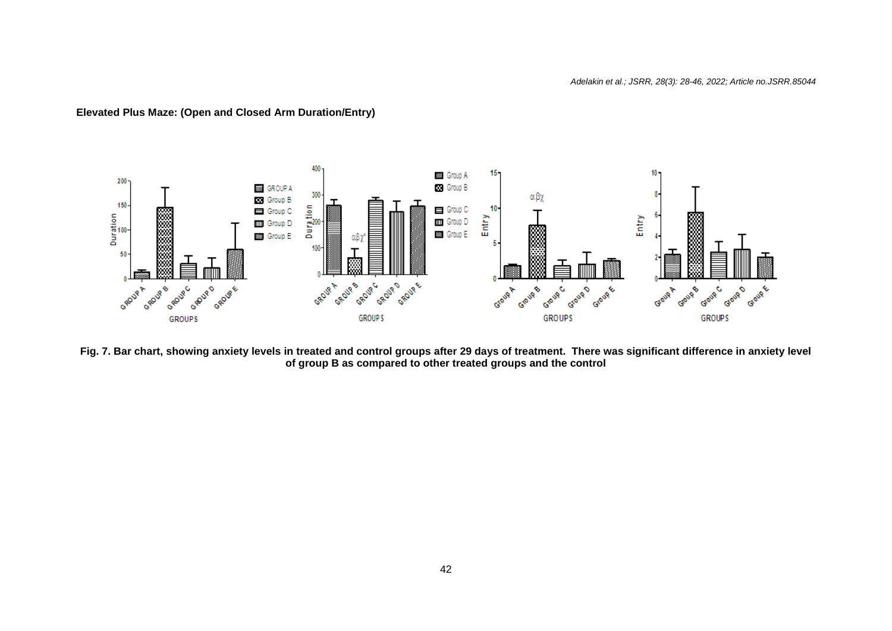

## **Elevated Plus Maze: (Open and Closed Arm Duration/Entry)**

**Fig. 7. Bar chart, showing anxiety levels in treated and control groups after 29 days of treatment. There was significant difference in anxiety level of group B as compared to other treated groups and the control**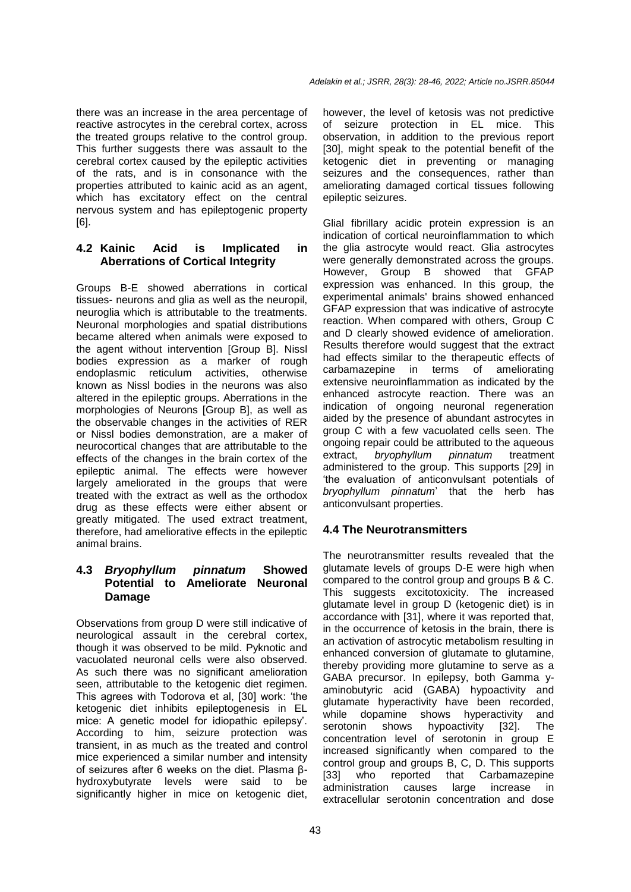there was an increase in the area percentage of reactive astrocytes in the cerebral cortex, across the treated groups relative to the control group. This further suggests there was assault to the cerebral cortex caused by the epileptic activities of the rats, and is in consonance with the properties attributed to kainic acid as an agent, which has excitatory effect on the central nervous system and has epileptogenic property [6].

# **4.2 Kainic Acid is Implicated in Aberrations of Cortical Integrity**

Groups B-E showed aberrations in cortical tissues- neurons and glia as well as the neuropil, neuroglia which is attributable to the treatments. Neuronal morphologies and spatial distributions became altered when animals were exposed to the agent without intervention [Group B]. Nissl bodies expression as a marker of rough endoplasmic reticulum activities, otherwise known as Nissl bodies in the neurons was also altered in the epileptic groups. Aberrations in the morphologies of Neurons [Group B], as well as the observable changes in the activities of RER or Nissl bodies demonstration, are a maker of neurocortical changes that are attributable to the effects of the changes in the brain cortex of the epileptic animal. The effects were however largely ameliorated in the groups that were treated with the extract as well as the orthodox drug as these effects were either absent or greatly mitigated. The used extract treatment, therefore, had ameliorative effects in the epileptic animal brains.

# **4.3** *Bryophyllum pinnatum* **Showed Potential to Ameliorate Neuronal Damage**

Observations from group D were still indicative of neurological assault in the cerebral cortex, though it was observed to be mild. Pyknotic and vacuolated neuronal cells were also observed. As such there was no significant amelioration seen, attributable to the ketogenic diet regimen. This agrees with Todorova et al, [30] work: 'the ketogenic diet inhibits epileptogenesis in EL mice: A genetic model for idiopathic epilepsy'. According to him, seizure protection was transient, in as much as the treated and control mice experienced a similar number and intensity of seizures after 6 weeks on the diet. Plasma βhydroxybutyrate levels were said to be significantly higher in mice on ketogenic diet,

however, the level of ketosis was not predictive of seizure protection in EL mice. This observation, in addition to the previous report [30], might speak to the potential benefit of the ketogenic diet in preventing or managing seizures and the consequences, rather than ameliorating damaged cortical tissues following epileptic seizures.

Glial fibrillary acidic protein expression is an indication of cortical neuroinflammation to which the glia astrocyte would react. Glia astrocytes were generally demonstrated across the groups. However, Group B showed that GFAP expression was enhanced. In this group, the experimental animals' brains showed enhanced GFAP expression that was indicative of astrocyte reaction. When compared with others, Group C and D clearly showed evidence of amelioration. Results therefore would suggest that the extract had effects similar to the therapeutic effects of carbamazepine in terms of ameliorating extensive neuroinflammation as indicated by the enhanced astrocyte reaction. There was an indication of ongoing neuronal regeneration aided by the presence of abundant astrocytes in group C with a few vacuolated cells seen. The ongoing repair could be attributed to the aqueous extract, *bryophyllum pinnatum* treatment administered to the group. This supports [29] in 'the evaluation of anticonvulsant potentials of *bryophyllum pinnatum*' that the herb has anticonvulsant properties.

# **4.4 The Neurotransmitters**

The neurotransmitter results revealed that the glutamate levels of groups D-E were high when compared to the control group and groups B & C. This suggests excitotoxicity. The increased glutamate level in group D (ketogenic diet) is in accordance with [31], where it was reported that, in the occurrence of ketosis in the brain, there is an activation of astrocytic metabolism resulting in enhanced conversion of glutamate to glutamine, thereby providing more glutamine to serve as a GABA precursor. In epilepsy, both Gamma yaminobutyric acid (GABA) hypoactivity and glutamate hyperactivity have been recorded, while dopamine shows hyperactivity and serotonin shows hypoactivity [32]. The concentration level of serotonin in group E increased significantly when compared to the control group and groups B, C, D. This supports [33] who reported that Carbamazepine administration causes large increase in extracellular serotonin concentration and dose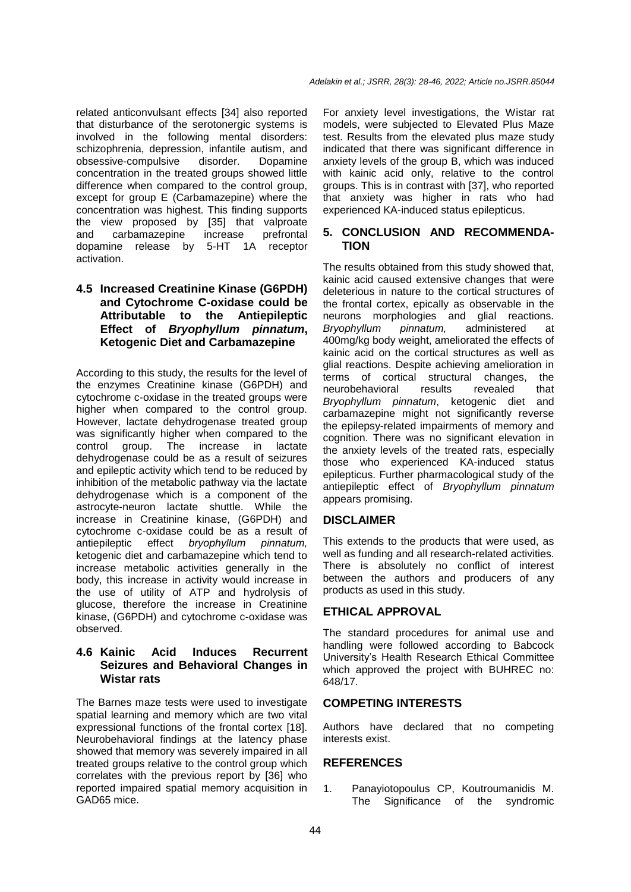related anticonvulsant effects [34] also reported that disturbance of the serotonergic systems is involved in the following mental disorders: schizophrenia, depression, infantile autism, and obsessive-compulsive disorder. Dopamine concentration in the treated groups showed little difference when compared to the control group, except for group E (Carbamazepine) where the concentration was highest. This finding supports the view proposed by [35] that valproate and carbamazepine increase prefrontal dopamine release by 5-HT 1A receptor activation.

# **4.5 Increased Creatinine Kinase (G6PDH) and Cytochrome C-oxidase could be Attributable to the Antiepileptic Effect of** *Bryophyllum pinnatum***, Ketogenic Diet and Carbamazepine**

According to this study, the results for the level of the enzymes Creatinine kinase (G6PDH) and cytochrome c-oxidase in the treated groups were higher when compared to the control group. However, lactate dehydrogenase treated group was significantly higher when compared to the control group. The increase in lactate dehydrogenase could be as a result of seizures and epileptic activity which tend to be reduced by inhibition of the metabolic pathway via the lactate dehydrogenase which is a component of the astrocyte-neuron lactate shuttle. While the increase in Creatinine kinase, (G6PDH) and cytochrome c-oxidase could be as a result of antiepileptic effect *bryophyllum pinnatum,* ketogenic diet and carbamazepine which tend to increase metabolic activities generally in the body, this increase in activity would increase in the use of utility of ATP and hydrolysis of glucose, therefore the increase in Creatinine kinase, (G6PDH) and cytochrome c-oxidase was observed.

# **4.6 Kainic Acid Induces Recurrent Seizures and Behavioral Changes in Wistar rats**

The Barnes maze tests were used to investigate spatial learning and memory which are two vital expressional functions of the frontal cortex [18]. Neurobehavioral findings at the latency phase showed that memory was severely impaired in all treated groups relative to the control group which correlates with the previous report by [36] who reported impaired spatial memory acquisition in GAD65 mice.

For anxiety level investigations, the Wistar rat models, were subjected to Elevated Plus Maze test. Results from the elevated plus maze study indicated that there was significant difference in anxiety levels of the group B, which was induced with kainic acid only, relative to the control groups. This is in contrast with [37], who reported that anxiety was higher in rats who had experienced KA-induced status epilepticus.

# **5. CONCLUSION AND RECOMMENDA-TION**

The results obtained from this study showed that, kainic acid caused extensive changes that were deleterious in nature to the cortical structures of the frontal cortex, epically as observable in the neurons morphologies and glial reactions. *Bryophyllum pinnatum,* administered at 400mg/kg body weight, ameliorated the effects of kainic acid on the cortical structures as well as glial reactions. Despite achieving amelioration in terms of cortical structural changes, the neurobehavioral results revealed that *Bryophyllum pinnatum*, ketogenic diet and carbamazepine might not significantly reverse the epilepsy-related impairments of memory and cognition. There was no significant elevation in the anxiety levels of the treated rats, especially those who experienced KA-induced status epilepticus. Further pharmacological study of the antiepileptic effect of *Bryophyllum pinnatum* appears promising.

# **DISCLAIMER**

This extends to the products that were used, as well as funding and all research-related activities. There is absolutely no conflict of interest between the authors and producers of any products as used in this study.

# **ETHICAL APPROVAL**

The standard procedures for animal use and handling were followed according to Babcock University's Health Research Ethical Committee which approved the project with BUHREC no: 648/17.

# **COMPETING INTERESTS**

Authors have declared that no competing interests exist.

# **REFERENCES**

1. Panayiotopoulus CP, Koutroumanidis M. The Significance of the syndromic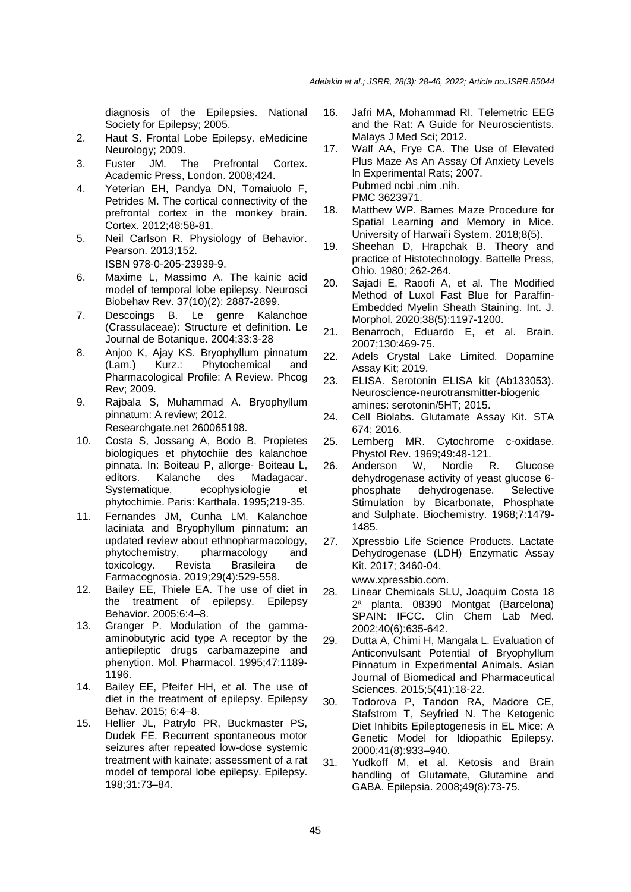diagnosis of the Epilepsies. National Society for Epilepsy; 2005.

- 2. Haut S. Frontal Lobe Epilepsy. eMedicine Neurology; 2009.
- 3. Fuster JM. The Prefrontal Cortex. Academic Press, London. 2008;424.
- 4. Yeterian EH, Pandya DN, Tomaiuolo F, Petrides M. The cortical connectivity of the prefrontal cortex in the monkey brain. Cortex. 2012;48:58-81.
- 5. Neil Carlson R. Physiology of Behavior. Pearson. 2013;152. ISBN 978-0-205-23939-9.
- 6. Maxime L, Massimo A. The kainic acid model of temporal lobe epilepsy. Neurosci Biobehav Rev. 37(10)(2): 2887-2899.
- 7. Descoings B. Le genre Kalanchoe (Crassulaceae): Structure et definition. Le Journal de Botanique. 2004;33:3-28
- 8. Anjoo K, Ajay KS. Bryophyllum pinnatum (Lam.) Kurz.: Phytochemical and Pharmacological Profile: A Review. Phcog Rev; 2009.
- 9. Rajbala S, Muhammad A. Bryophyllum pinnatum: A review; 2012. Researchgate.net 260065198.
- 10. Costa S, Jossang A, Bodo B. Propietes biologiques et phytochiie des kalanchoe pinnata. In: Boiteau P, allorge- Boiteau L, Kalanche des Madagacar. Systematique, ecophysiologie et phytochimie. Paris: Karthala. 1995;219-35.
- 11. Fernandes JM, Cunha LM. Kalanchoe laciniata and Bryophyllum pinnatum: an updated review about ethnopharmacology, phytochemistry, pharmacology and toxicology. Revista Brasileira de Farmacognosia. 2019;29(4):529-558.
- 12. Bailey EE, Thiele EA. The use of diet in the treatment of epilepsy. Epilepsy Behavior. 2005;6:4–8.
- 13. Granger P. Modulation of the gammaaminobutyric acid type A receptor by the antiepileptic drugs carbamazepine and phenytion. Mol. Pharmacol. 1995;47:1189- 1196.
- 14. Bailey EE, Pfeifer HH, et al. The use of diet in the treatment of epilepsy. Epilepsy Behav. 2015; 6:4–8.
- 15. Hellier JL, Patrylo PR, Buckmaster PS, Dudek FE. Recurrent spontaneous motor seizures after repeated low-dose systemic treatment with kainate: assessment of a rat model of temporal lobe epilepsy. Epilepsy. 198;31:73–84.
- 16. Jafri MA, Mohammad RI. Telemetric EEG and the Rat: A Guide for Neuroscientists. Malays J Med Sci; 2012.
- 17. Walf AA, Frye CA. The Use of Elevated Plus Maze As An Assay Of Anxiety Levels In Experimental Rats; 2007. Pubmed ncbi .nim .nih. PMC 3623971.
- 18. Matthew WP. Barnes Maze Procedure for Spatial Learning and Memory in Mice. University of Harwai'i System. 2018;8(5).
- 19. Sheehan D, Hrapchak B. Theory and practice of Histotechnology. Battelle Press, Ohio. 1980; 262-264.
- 20. Sajadi E, Raoofi A, et al. The Modified Method of Luxol Fast Blue for Paraffin-Embedded Myelin Sheath Staining. Int. J. Morphol. 2020;38(5):1197-1200.
- 21. Benarroch, Eduardo E, et al. Brain. 2007;130:469-75.
- 22. Adels Crystal Lake Limited. Dopamine Assay Kit; 2019.
- 23. ELISA. Serotonin ELISA kit (Ab133053). Neuroscience-neurotransmitter-biogenic amines: serotonin/5HT; 2015.
- 24. Cell Biolabs. Glutamate Assay Kit. STA 674; 2016.
- 25. Lemberg MR. Cytochrome c-oxidase. Phystol Rev. 1969;49:48-121.
- 26. Anderson W, Nordie R. Glucose dehydrogenase activity of yeast glucose 6 phosphate dehydrogenase. Selective Stimulation by Bicarbonate, Phosphate and Sulphate. Biochemistry. 1968;7:1479- 1485.
- 27. Xpressbio Life Science Products. Lactate Dehydrogenase (LDH) Enzymatic Assay Kit. 2017; 3460-04.

www.xpressbio.com.

- 28. Linear Chemicals SLU, Joaquim Costa 18 2ª planta. 08390 Montgat (Barcelona) SPAIN: IFCC. Clin Chem Lab Med. 2002;40(6):635-642.
- 29. Dutta A, Chimi H, Mangala L. Evaluation of Anticonvulsant Potential of Bryophyllum Pinnatum in Experimental Animals. Asian Journal of Biomedical and Pharmaceutical Sciences. 2015;5(41):18-22.
- 30. Todorova P, Tandon RA, Madore CE, Stafstrom T, Seyfried N. The Ketogenic Diet Inhibits Epileptogenesis in EL Mice: A Genetic Model for Idiopathic Epilepsy. 2000;41(8):933–940.
- 31. Yudkoff M, et al. Ketosis and Brain handling of Glutamate, Glutamine and GABA. Epilepsia. 2008;49(8):73-75.